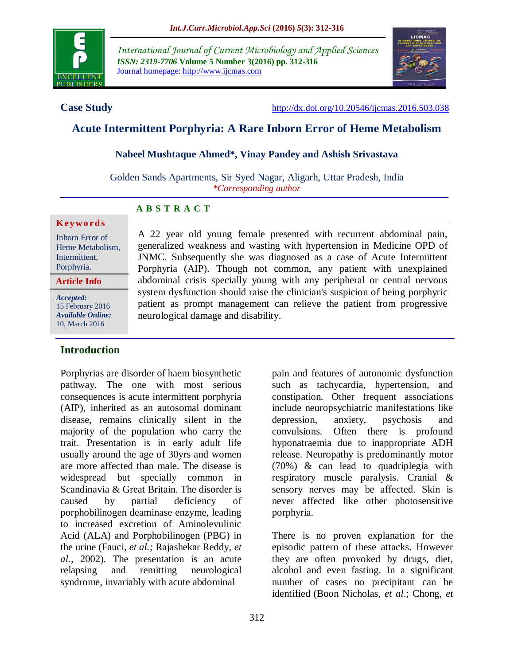

*International Journal of Current Microbiology and Applied Sciences ISSN: 2319-7706* **Volume 5 Number 3(2016) pp. 312-316** Journal homepage: http://www.ijcmas.com



**Case Study** <http://dx.doi.org/10.20546/ijcmas.2016.503.038>

# **Acute Intermittent Porphyria: A Rare Inborn Error of Heme Metabolism**

## **Nabeel Mushtaque Ahmed\*, Vinay Pandey and Ashish Srivastava**

Golden Sands Apartments, Sir Syed Nagar, Aligarh, Uttar Pradesh, India *\*Corresponding author*

## **A B S T R A C T**

#### **K ey w o rd s**

Inborn Error of Heme Metabolism, Intermittent, Porphyria.

**Article Info**

*Accepted:*  15 February 2016 *Available Online:* 10, March 2016

## **Introduction**

Porphyrias are disorder of haem biosynthetic pathway. The one with most serious consequences is acute intermittent porphyria (AIP), inherited as an autosomal dominant disease, remains clinically silent in the majority of the population who carry the trait. Presentation is in early adult life usually around the age of 30yrs and women are more affected than male. The disease is widespread but specially common in Scandinavia & Great Britain. The disorder is caused by partial deficiency of porphobilinogen deaminase enzyme, leading to increased excretion of Aminolevulinic Acid (ALA) and Porphobilinogen (PBG) in the urine (Fauci, *et al.;* Rajashekar Reddy, *et al.,* 2002). The presentation is an acute relapsing and remitting neurological syndrome, invariably with acute abdominal

A 22 year old young female presented with recurrent abdominal pain, generalized weakness and wasting with hypertension in Medicine OPD of JNMC. Subsequently she was diagnosed as a case of Acute Intermittent Porphyria (AIP). Though not common, any patient with unexplained abdominal crisis specially young with any peripheral or central nervous system dysfunction should raise the clinician's suspicion of being porphyric patient as prompt management can relieve the patient from progressive neurological damage and disability.

> pain and features of autonomic dysfunction such as tachycardia, hypertension, and constipation. Other frequent associations include neuropsychiatric manifestations like depression, anxiety, psychosis and convulsions. Often there is profound hyponatraemia due to inappropriate ADH release. Neuropathy is predominantly motor (70%) & can lead to quadriplegia with respiratory muscle paralysis. Cranial & sensory nerves may be affected. Skin is never affected like other photosensitive porphyria.

> There is no proven explanation for the episodic pattern of these attacks. However they are often provoked by drugs, diet, alcohol and even fasting. In a significant number of cases no precipitant can be identified (Boon Nicholas, *et al*.; Chong, *et*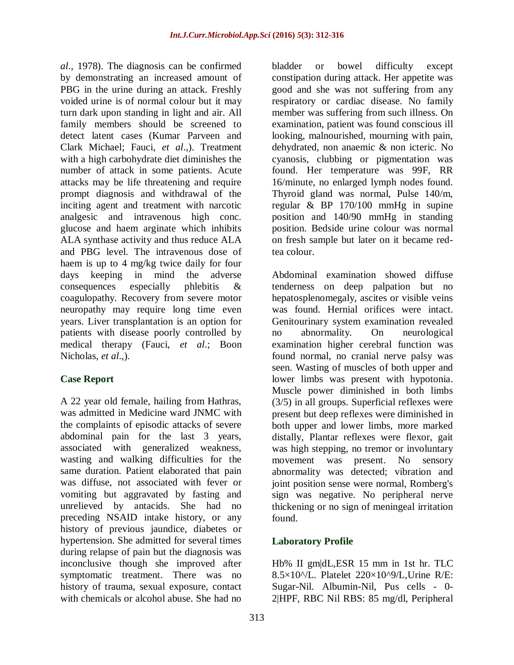*al*., 1978). The diagnosis can be confirmed by demonstrating an increased amount of PBG in the urine during an attack. Freshly voided urine is of normal colour but it may turn dark upon standing in light and air. All family members should be screened to detect latent cases (Kumar Parveen and Clark Michael; Fauci, *et al*.,). Treatment with a high carbohydrate diet diminishes the number of attack in some patients. Acute attacks may be life threatening and require prompt diagnosis and withdrawal of the inciting agent and treatment with narcotic analgesic and intravenous high conc. glucose and haem arginate which inhibits ALA synthase activity and thus reduce ALA and PBG level. The intravenous dose of haem is up to 4 mg/kg twice daily for four days keeping in mind the adverse consequences especially phlebitis & coagulopathy. Recovery from severe motor neuropathy may require long time even years. Liver transplantation is an option for patients with disease poorly controlled by medical therapy (Fauci, *et al*.; Boon Nicholas, *et al*.,).

# **Case Report**

A 22 year old female, hailing from Hathras, was admitted in Medicine ward JNMC with the complaints of episodic attacks of severe abdominal pain for the last 3 years, associated with generalized weakness, wasting and walking difficulties for the same duration. Patient elaborated that pain was diffuse, not associated with fever or vomiting but aggravated by fasting and unrelieved by antacids. She had no preceding NSAID intake history, or any history of previous jaundice, diabetes or hypertension. She admitted for several times during relapse of pain but the diagnosis was inconclusive though she improved after symptomatic treatment. There was no history of trauma, sexual exposure, contact with chemicals or alcohol abuse. She had no

bladder or bowel difficulty except constipation during attack. Her appetite was good and she was not suffering from any respiratory or cardiac disease. No family member was suffering from such illness. On examination, patient was found conscious ill looking, malnourished, mourning with pain, dehydrated, non anaemic & non icteric. No cyanosis, clubbing or pigmentation was found. Her temperature was 99F, RR 16/minute, no enlarged lymph nodes found. Thyroid gland was normal, Pulse 140/m, regular & BP 170/100 mmHg in supine position and 140/90 mmHg in standing position. Bedside urine colour was normal on fresh sample but later on it became redtea colour.

Abdominal examination showed diffuse tenderness on deep palpation but no hepatosplenomegaly, ascites or visible veins was found. Hernial orifices were intact. Genitourinary system examination revealed no abnormality. On neurological examination higher cerebral function was found normal, no cranial nerve palsy was seen. Wasting of muscles of both upper and lower limbs was present with hypotonia. Muscle power diminished in both limbs (3/5) in all groups. Superficial reflexes were present but deep reflexes were diminished in both upper and lower limbs, more marked distally, Plantar reflexes were flexor, gait was high stepping, no tremor or involuntary movement was present. No sensory abnormality was detected; vibration and joint position sense were normal, Romberg's sign was negative. No peripheral nerve thickening or no sign of meningeal irritation found.

# **Laboratory Profile**

Hb% II gm|dL,ESR 15 mm in 1st hr. TLC 8.5×10^/L. Platelet 220×10^9/L,Urine R/E: Sugar-Nil. Albumin-Nil, Pus cells - 0- 2|HPF, RBC Nil RBS: 85 mg/dl, Peripheral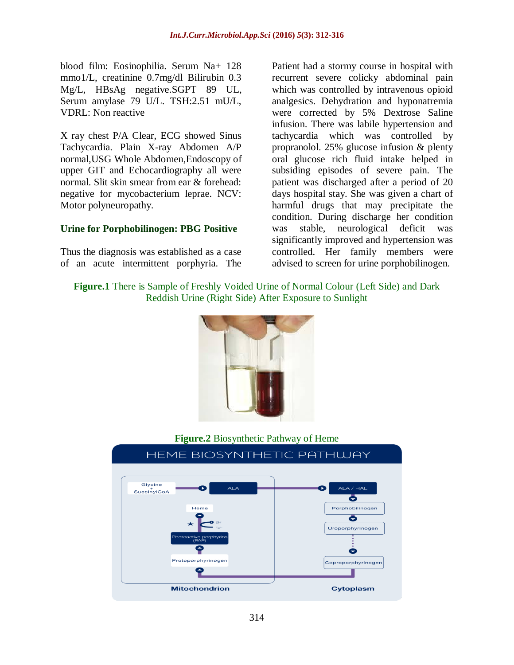blood film: Eosinophilia. Serum Na+ 128 mmo1/L, creatinine 0.7mg/dl Bilirubin 0.3 Mg/L, HBsAg negative.SGPT 89 UL, Serum amylase 79 U/L. TSH:2.51 mU/L, VDRL: Non reactive

X ray chest P/A Clear, ECG showed Sinus Tachycardia. Plain X-ray Abdomen A/P normal,USG Whole Abdomen,Endoscopy of upper GIT and Echocardiography all were normal. Slit skin smear from ear & forehead: negative for mycobacterium leprae. NCV: Motor polyneuropathy.

## **Urine for Porphobilinogen: PBG Positive**

Thus the diagnosis was established as a case of an acute intermittent porphyria. The

Patient had a stormy course in hospital with recurrent severe colicky abdominal pain which was controlled by intravenous opioid analgesics. Dehydration and hyponatremia were corrected by 5% Dextrose Saline infusion. There was labile hypertension and tachycardia which was controlled by propranolol. 25% glucose infusion & plenty oral glucose rich fluid intake helped in subsiding episodes of severe pain. The patient was discharged after a period of 20 days hospital stay. She was given a chart of harmful drugs that may precipitate the condition. During discharge her condition was stable, neurological deficit was significantly improved and hypertension was controlled. Her family members were advised to screen for urine porphobilinogen.

# **Figure.1** There is Sample of Freshly Voided Urine of Normal Colour (Left Side) and Dark Reddish Urine (Right Side) After Exposure to Sunlight



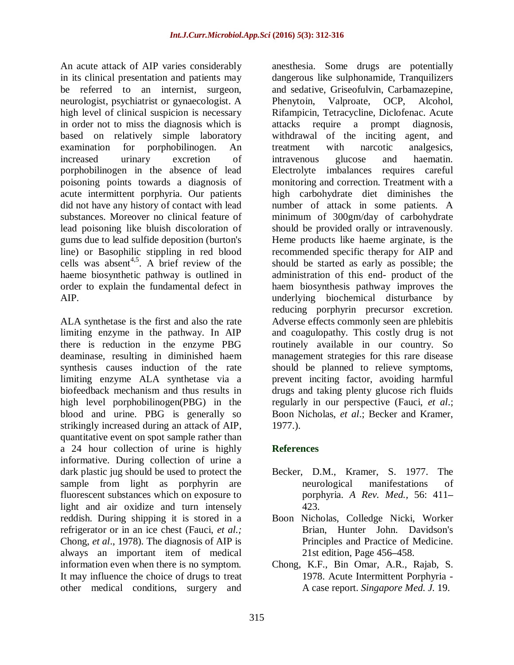An acute attack of AIP varies considerably in its clinical presentation and patients may be referred to an internist, surgeon, neurologist, psychiatrist or gynaecologist. A high level of clinical suspicion is necessary in order not to miss the diagnosis which is based on relatively simple laboratory examination for porphobilinogen. An increased urinary excretion of porphobilinogen in the absence of lead poisoning points towards a diagnosis of acute intermittent porphyria. Our patients did not have any history of contact with lead substances. Moreover no clinical feature of lead poisoning like bluish discoloration of gums due to lead sulfide deposition (burton's line) or Basophilic stippling in red blood cells was absent<sup>4,5</sup>. A brief review of the haeme biosynthetic pathway is outlined in order to explain the fundamental defect in AIP.

ALA synthetase is the first and also the rate limiting enzyme in the pathway. In AIP there is reduction in the enzyme PBG deaminase, resulting in diminished haem synthesis causes induction of the rate limiting enzyme ALA synthetase via a biofeedback mechanism and thus results in high level porphobilinogen(PBG) in the blood and urine. PBG is generally so strikingly increased during an attack of AIP, quantitative event on spot sample rather than a 24 hour collection of urine is highly informative. During collection of urine a dark plastic jug should be used to protect the sample from light as porphyrin are fluorescent substances which on exposure to light and air oxidize and turn intensely reddish. During shipping it is stored in a refrigerator or in an ice chest (Fauci, *et al.;* Chong, *et al*., 1978). The diagnosis of AIP is always an important item of medical information even when there is no symptom. It may influence the choice of drugs to treat other medical conditions, surgery and

anesthesia. Some drugs are potentially dangerous like sulphonamide, Tranquilizers and sedative, Griseofulvin, Carbamazepine, Phenytoin, Valproate, OCP, Alcohol, Rifampicin, Tetracycline, Diclofenac. Acute attacks require a prompt diagnosis, withdrawal of the inciting agent, and treatment with narcotic analgesics, intravenous glucose and haematin. Electrolyte imbalances requires careful monitoring and correction. Treatment with a high carbohydrate diet diminishes the number of attack in some patients. A minimum of 300gm/day of carbohydrate should be provided orally or intravenously. Heme products like haeme arginate, is the recommended specific therapy for AIP and should be started as early as possible; the administration of this end- product of the haem biosynthesis pathway improves the underlying biochemical disturbance by reducing porphyrin precursor excretion. Adverse effects commonly seen are phlebitis and coagulopathy. This costly drug is not routinely available in our country. So management strategies for this rare disease should be planned to relieve symptoms, prevent inciting factor, avoiding harmful drugs and taking plenty glucose rich fluids regularly in our perspective (Fauci, *et al*.; Boon Nicholas, *et al*.; Becker and Kramer, 1977.).

## **References**

- Becker, D.M., Kramer, S. 1977. The neurological manifestations of porphyria. *A Rev. Med.,* 56: 411*–* 423.
- Boon Nicholas, Colledge Nicki, Worker Brian, Hunter John. Davidson's Principles and Practice of Medicine. 21st edition, Page 456*–*458.
- Chong, K.F., Bin Omar, A.R., Rajab, S. 1978. Acute Intermittent Porphyria - A case report. *Singapore Med. J.* 19.